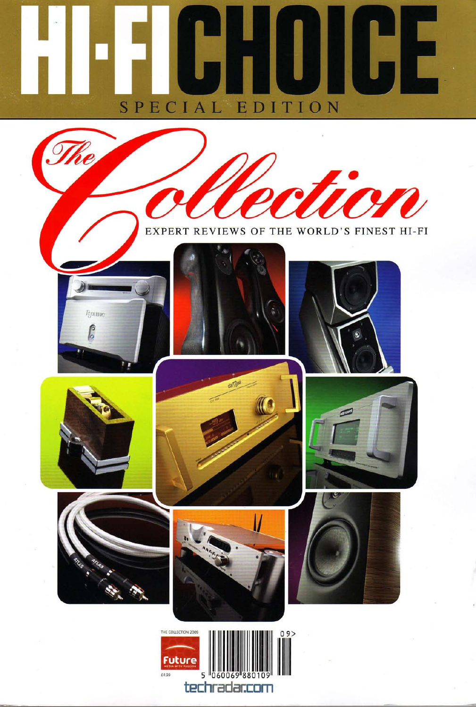## **UHUIGE** SPECIAL EDITION